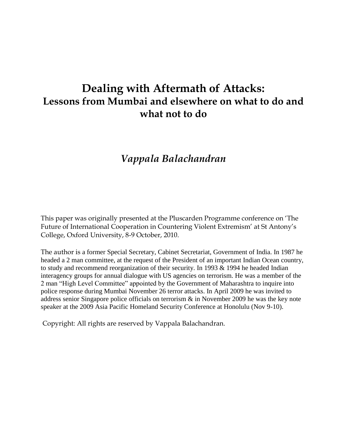# **Dealing with Aftermath of Attacks: Lessons from Mumbai and elsewhere on what to do and what not to do**

## *Vappala Balachandran*

This paper was originally presented at the Pluscarden Programme conference on "The Future of International Cooperation in Countering Violent Extremism' at St Antony's College, Oxford University, 8-9 October, 2010.

The author is a former Special Secretary, Cabinet Secretariat, Government of India. In 1987 he headed a 2 man committee, at the request of the President of an important Indian Ocean country, to study and recommend reorganization of their security. In 1993 & 1994 he headed Indian interagency groups for annual dialogue with US agencies on terrorism. He was a member of the 2 man "High Level Committee" appointed by the Government of Maharashtra to inquire into police response during Mumbai November 26 terror attacks. In April 2009 he was invited to address senior Singapore police officials on terrorism & in November 2009 he was the key note speaker at the 2009 Asia Pacific Homeland Security Conference at Honolulu (Nov 9-10).

Copyright: All rights are reserved by Vappala Balachandran.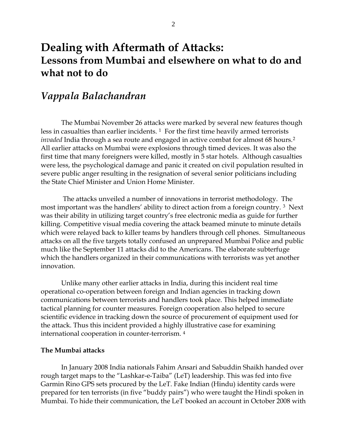## **Dealing with Aftermath of Attacks: Lessons from Mumbai and elsewhere on what to do and what not to do**

### *Vappala Balachandran*

The Mumbai November 26 attacks were marked by several new features though less in casualties than earlier incidents.<sup>1</sup> For the first time heavily armed terrorists *invaded* India through a sea route and engaged in active combat for almost 68 hours.<sup>2</sup> All earlier attacks on Mumbai were explosions through timed devices. It was also the first time that many foreigners were killed, mostly in 5 star hotels. Although casualties were less, the psychological damage and panic it created on civil population resulted in severe public anger resulting in the resignation of several senior politicians including the State Chief Minister and Union Home Minister.

The attacks unveiled a number of innovations in terrorist methodology. The most important was the handlers' ability to direct action from a foreign country. <sup>3</sup> Next was their ability in utilizing target country's free electronic media as guide for further killing. Competitive visual media covering the attack beamed minute to minute details which were relayed back to killer teams by handlers through cell phones. Simultaneous attacks on all the five targets totally confused an unprepared Mumbai Police and public much like the September 11 attacks did to the Americans. The elaborate subterfuge which the handlers organized in their communications with terrorists was yet another innovation.

Unlike many other earlier attacks in India, during this incident real time operational co-operation between foreign and Indian agencies in tracking down communications between terrorists and handlers took place. This helped immediate tactical planning for counter measures. Foreign cooperation also helped to secure scientific evidence in tracking down the source of procurement of equipment used for the attack. Thus this incident provided a highly illustrative case for examining international cooperation in counter-terrorism. 4

#### **The Mumbai attacks**

In January 2008 India nationals Fahim Ansari and Sabuddin Shaikh handed over rough target maps to the "Lashkar-e-Taiba" (LeT) leadership. This was fed into five Garmin Rino GPS sets procured by the LeT. Fake Indian (Hindu) identity cards were prepared for ten terrorists (in five "buddy pairs") who were taught the Hindi spoken in Mumbai. To hide their communication, the LeT booked an account in October 2008 with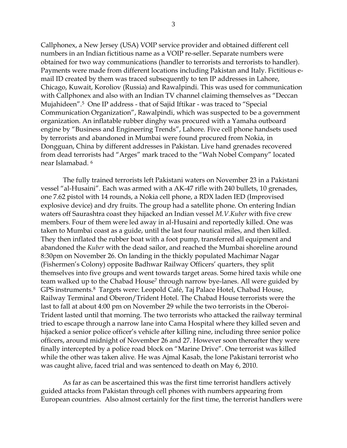Callphonex, a New Jersey (USA) VOIP service provider and obtained different cell numbers in an Indian fictitious name as a VOIP re-seller. Separate numbers were obtained for two way communications (handler to terrorists and terrorists to handler). Payments were made from different locations including Pakistan and Italy. Fictitious email ID created by them was traced subsequently to ten IP addresses in Lahore, Chicago, Kuwait, Koroliov (Russia) and Rawalpindi. This was used for communication with Callphonex and also with an Indian TV channel claiming themselves as "Deccan Mujahideen".5 One IP address - that of Sajid Iftikar - was traced to "Special Communication Organization", Rawalpindi, which was suspected to be a government organization. An inflatable rubber dinghy was procured with a Yamaha outboard engine by "Business and Engineering Trends", Lahore. Five cell phone handsets used by terrorists and abandoned in Mumbai were found procured from Nokia, in Dongguan, China by different addresses in Pakistan. Live hand grenades recovered from dead terrorists had "Arges" mark traced to the "Wah Nobel Company" located near Islamabad. <sup>6</sup>

The fully trained terrorists left Pakistani waters on November 23 in a Pakistani vessel "al-Husaini". Each was armed with a AK-47 rifle with 240 bullets, 10 grenades, one 7.62 pistol with 14 rounds, a Nokia cell phone, a RDX laden IED (Improvised explosive device) and dry fruits. The group had a satellite phone. On entering Indian waters off Saurashtra coast they hijacked an Indian vessel *M.V.Kuber* with five crew members. Four of them were led away in al-Husaini and reportedly killed. One was taken to Mumbai coast as a guide, until the last four nautical miles, and then killed. They then inflated the rubber boat with a foot pump, transferred all equipment and abandoned the *Kuber* with the dead sailor, and reached the Mumbai shoreline around 8:30pm on November 26. On landing in the thickly populated Machimar Nagar (Fishermen"s Colony) opposite Badhwar Railway Officers" quarters, they split themselves into five groups and went towards target areas. Some hired taxis while one team walked up to the Chabad House<sup>7</sup> through narrow bye-lanes. All were guided by GPS instruments.8 Targets were: Leopold Café, Taj Palace Hotel, Chabad House, Railway Terminal and Oberon/Trident Hotel. The Chabad House terrorists were the last to fall at about 4:00 pm on November 29 while the two terrorists in the Oberoi-Trident lasted until that morning. The two terrorists who attacked the railway terminal tried to escape through a narrow lane into Cama Hospital where they killed seven and hijacked a senior police officer"s vehicle after killing nine, including three senior police officers, around midnight of November 26 and 27. However soon thereafter they were finally intercepted by a police road block on "Marine Drive". One terrorist was killed while the other was taken alive. He was Ajmal Kasab, the lone Pakistani terrorist who was caught alive, faced trial and was sentenced to death on May 6, 2010.

As far as can be ascertained this was the first time terrorist handlers actively guided attacks from Pakistan through cell phones with numbers appearing from European countries. Also almost certainly for the first time, the terrorist handlers were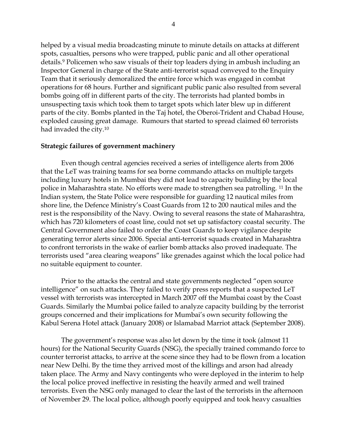helped by a visual media broadcasting minute to minute details on attacks at different spots, casualties, persons who were trapped, public panic and all other operational details.<sup>9</sup> Policemen who saw visuals of their top leaders dying in ambush including an Inspector General in charge of the State anti-terrorist squad conveyed to the Enquiry Team that it seriously demoralized the entire force which was engaged in combat operations for 68 hours. Further and significant public panic also resulted from several bombs going off in different parts of the city. The terrorists had planted bombs in unsuspecting taxis which took them to target spots which later blew up in different parts of the city. Bombs planted in the Taj hotel, the Oberoi-Trident and Chabad House, exploded causing great damage. Rumours that started to spread claimed 60 terrorists had invaded the city.<sup>10</sup>

#### **Strategic failures of government machinery**

Even though central agencies received a series of intelligence alerts from 2006 that the LeT was training teams for sea borne commando attacks on multiple targets including luxury hotels in Mumbai they did not lead to capacity building by the local police in Maharashtra state. No efforts were made to strengthen sea patrolling. <sup>11</sup> In the Indian system, the State Police were responsible for guarding 12 nautical miles from shore line, the Defence Ministry"s Coast Guards from 12 to 200 nautical miles and the rest is the responsibility of the Navy. Owing to several reasons the state of Maharashtra, which has 720 kilometers of coast line, could not set up satisfactory coastal security. The Central Government also failed to order the Coast Guards to keep vigilance despite generating terror alerts since 2006. Special anti-terrorist squads created in Maharashtra to confront terrorists in the wake of earlier bomb attacks also proved inadequate. The terrorists used "area clearing weapons" like grenades against which the local police had no suitable equipment to counter.

Prior to the attacks the central and state governments neglected "open source intelligence" on such attacks. They failed to verify press reports that a suspected LeT vessel with terrorists was intercepted in March 2007 off the Mumbai coast by the Coast Guards. Similarly the Mumbai police failed to analyze capacity building by the terrorist groups concerned and their implications for Mumbai"s own security following the Kabul Serena Hotel attack (January 2008) or Islamabad Marriot attack (September 2008).

The government's response was also let down by the time it took (almost 11 hours) for the National Security Guards (NSG), the specially trained commando force to counter terrorist attacks, to arrive at the scene since they had to be flown from a location near New Delhi. By the time they arrived most of the killings and arson had already taken place. The Army and Navy contingents who were deployed in the interim to help the local police proved ineffective in resisting the heavily armed and well trained terrorists. Even the NSG only managed to clear the last of the terrorists in the afternoon of November 29. The local police, although poorly equipped and took heavy casualties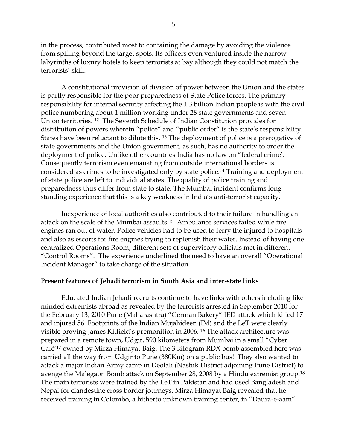in the process, contributed most to containing the damage by avoiding the violence from spilling beyond the target spots. Its officers even ventured inside the narrow labyrinths of luxury hotels to keep terrorists at bay although they could not match the terrorists" skill.

A constitutional provision of division of power between the Union and the states is partly responsible for the poor preparedness of State Police forces. The primary responsibility for internal security affecting the 1.3 billion Indian people is with the civil police numbering about 1 million working under 28 state governments and seven Union territories. 12 The Seventh Schedule of Indian Constitution provides for distribution of powers wherein "police" and "public order" is the state's responsibility. States have been reluctant to dilute this. <sup>13</sup> The deployment of police is a prerogative of state governments and the Union government, as such, has no authority to order the deployment of police. Unlike other countries India has no law on "federal crime". Consequently terrorism even emanating from outside international borders is considered as crimes to be investigated only by state police.<sup>14</sup> Training and deployment of state police are left to individual states. The quality of police training and preparedness thus differ from state to state. The Mumbai incident confirms long standing experience that this is a key weakness in India"s anti-terrorist capacity.

Inexperience of local authorities also contributed to their failure in handling an attack on the scale of the Mumbai assaults. 15 Ambulance services failed while fire engines ran out of water. Police vehicles had to be used to ferry the injured to hospitals and also as escorts for fire engines trying to replenish their water. Instead of having one centralized Operations Room, different sets of supervisory officials met in different "Control Rooms". The experience underlined the need to have an overall "Operational Incident Manager" to take charge of the situation.

#### **Present features of Jehadi terrorism in South Asia and inter-state links**

Educated Indian Jehadi recruits continue to have links with others including like minded extremists abroad as revealed by the terrorists arrested in September 2010 for the February 13, 2010 Pune (Maharashtra) "German Bakery" IED attack which killed 17 and injured 56. Footprints of the Indian Mujahideen (IM) and the LeT were clearly visible proving James Kitfield"s premonition in 2006. <sup>16</sup> The attack architecture was prepared in a remote town, Udgir, 590 kilometers from Mumbai in a small "Cyber Café"<sup>17</sup> owned by Mirza Himayat Baig. The 3 kilogram RDX bomb assembled here was carried all the way from Udgir to Pune (380Km) on a public bus! They also wanted to attack a major Indian Army camp in Deolali (Nashik District adjoining Pune District) to avenge the Malegaon Bomb attack on September 28, 2008 by a Hindu extremist group.<sup>18</sup> The main terrorists were trained by the LeT in Pakistan and had used Bangladesh and Nepal for clandestine cross border journeys. Mirza Himayat Baig revealed that he received training in Colombo, a hitherto unknown training center, in "Daura-e-aam"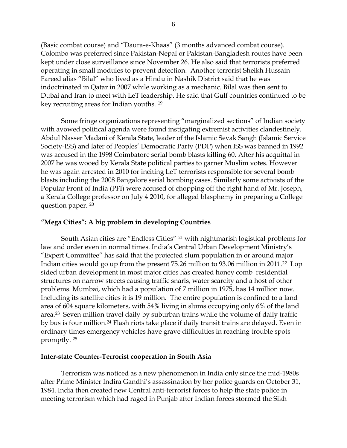(Basic combat course) and "Daura-e-Khaas" (3 months advanced combat course). Colombo was preferred since Pakistan-Nepal or Pakistan-Bangladesh routes have been kept under close surveillance since November 26. He also said that terrorists preferred operating in small modules to prevent detection. Another terrorist Sheikh Hussain Fareed alias "Bilal" who lived as a Hindu in Nashik District said that he was indoctrinated in Qatar in 2007 while working as a mechanic. Bilal was then sent to Dubai and Iran to meet with LeT leadership. He said that Gulf countries continued to be key recruiting areas for Indian youths. <sup>19</sup>

Some fringe organizations representing "marginalized sections" of Indian society with avowed political agenda were found instigating extremist activities clandestinely. Abdul Nasser Madani of Kerala State, leader of the Islamic Sevak Sangh (Islamic Service Society-ISS) and later of Peoples" Democratic Party (PDP) when ISS was banned in 1992 was accused in the 1998 Coimbatore serial bomb blasts killing 60. After his acquittal in 2007 he was wooed by Kerala State political parties to garner Muslim votes. However he was again arrested in 2010 for inciting LeT terrorists responsible for several bomb blasts including the 2008 Bangalore serial bombing cases. Similarly some activists of the Popular Front of India (PFI) were accused of chopping off the right hand of Mr. Joseph, a Kerala College professor on July 4 2010, for alleged blasphemy in preparing a College question paper. <sup>20</sup>

#### **"Mega Cities": A big problem in developing Countries**

South Asian cities are "Endless Cities" <sup>21</sup> with nightmarish logistical problems for law and order even in normal times. India's Central Urban Development Ministry's "Expert Committee" has said that the projected slum population in or around major Indian cities would go up from the present 75.26 million to 93.06 million in 2011.22 Lop sided urban development in most major cities has created honey comb residential structures on narrow streets causing traffic snarls, water scarcity and a host of other problems. Mumbai, which had a population of 7 million in 1975, has 14 million now. Including its satellite cities it is 19 million. The entire population is confined to a land area of 604 square kilometers, with 54% living in slums occupying only 6% of the land area.23 Seven million travel daily by suburban trains while the volume of daily traffic by bus is four million.<sup>24</sup> Flash riots take place if daily transit trains are delayed. Even in ordinary times emergency vehicles have grave difficulties in reaching trouble spots promptly. 25

#### **Inter-state Counter-Terrorist cooperation in South Asia**

Terrorism was noticed as a new phenomenon in India only since the mid-1980s after Prime Minister Indira Gandhi"s assassination by her police guards on October 31, 1984. India then created new Central anti-terrorist forces to help the state police in meeting terrorism which had raged in Punjab after Indian forces stormed the Sikh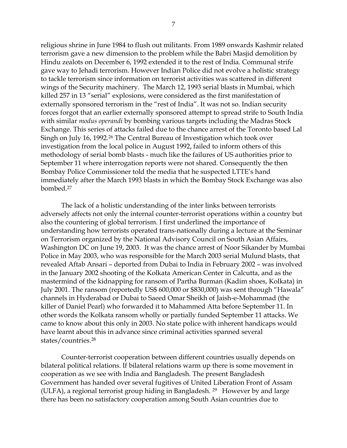religious shrine in June 1984 to flush out militants. From 1989 onwards Kashmir related terrorism gave a new dimension to the problem while the Babri Masjid demolition by Hindu zealots on December 6, 1992 extended it to the rest of India. Communal strife gave way to Jehadi terrorism. However Indian Police did not evolve a holistic strategy to tackle terrorism since information on terrorist activities was scattered in different wings of the Security machinery. The March 12, 1993 serial blasts in Mumbai, which killed 257 in 13 "serial" explosions, were considered as the first manifestation of externally sponsored terrorism in the "rest of India". It was not so. Indian security forces forgot that an earlier externally sponsored attempt to spread strife to South India with similar *modus operandi* by bombing various targets including the Madras Stock Exchange. This series of attacks failed due to the chance arrest of the Toronto based Lal Singh on July 16, 1992.<sup>26</sup> The Central Bureau of Investigation which took over investigation from the local police in August 1992, failed to inform others of this methodology of serial bomb blasts - much like the failures of US authorities prior to September 11 where interrogation reports were not shared. Consequently the then Bombay Police Commissioner told the media that he suspected LTTE"s hand immediately after the March 1993 blasts in which the Bombay Stock Exchange was also bombed.<sup>27</sup>

The lack of a holistic understanding of the inter links between terrorists adversely affects not only the internal counter-terrorist operations within a country but also the countering of global terrorism. I first underlined the importance of understanding how terrorists operated trans-nationally during a lecture at the Seminar on Terrorism organized by the National Advisory Council on South Asian Affairs, Washington DC on June 19, 2003. It was the chance arrest of Noor Sikander by Mumbai Police in May 2003, who was responsible for the March 2003 serial Mulund blasts, that revealed Aftab Ansari – deported from Dubai to India in February 2002 – was involved in the January 2002 shooting of the Kolkata American Center in Calcutta, and as the mastermind of the kidnapping for ransom of Partha Burman (Kadim shoes, Kolkata) in July 2001. The ransom (reportedly US\$ 600,000 or \$830,000) was sent through "Hawala" channels in Hyderabad or Dubai to Saeed Omar Sheikh of Jaish-e-Mohammad (the killer of Daniel Pearl) who forwarded it to Mahammed Atta before September 11. In other words the Kolkata ransom wholly or partially funded September 11 attacks. We came to know about this only in 2003. No state police with inherent handicaps would have learnt about this in advance since criminal activities spanned several states/countries.<sup>28</sup>

Counter-terrorist cooperation between different countries usually depends on bilateral political relations. If bilateral relations warm up there is some movement in cooperation as we see with India and Bangladesh. The present Bangladesh Government has handed over several fugitives of United Liberation Front of Assam (ULFA), a regional terrorist group hiding in Bangladesh. <sup>29</sup> However by and large there has been no satisfactory cooperation among South Asian countries due to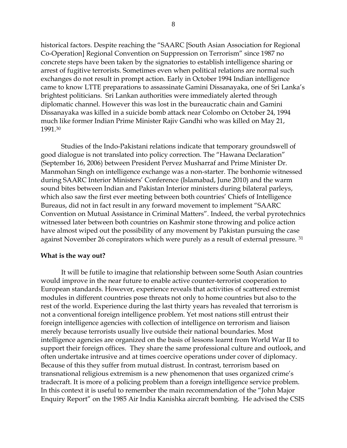historical factors. Despite reaching the "SAARC [South Asian Association for Regional Co-Operation] Regional Convention on Suppression on Terrorism" since 1987 no concrete steps have been taken by the signatories to establish intelligence sharing or arrest of fugitive terrorists. Sometimes even when political relations are normal such exchanges do not result in prompt action. Early in October 1994 Indian intelligence came to know LTTE preparations to assassinate Gamini Dissanayaka, one of Sri Lanka"s brightest politicians. Sri Lankan authorities were immediately alerted through diplomatic channel. However this was lost in the bureaucratic chain and Gamini Dissanayaka was killed in a suicide bomb attack near Colombo on October 24, 1994 much like former Indian Prime Minister Rajiv Gandhi who was killed on May 21, 1991.<sup>30</sup>

Studies of the Indo-Pakistani relations indicate that temporary groundswell of good dialogue is not translated into policy correction. The "Hawana Declaration" (September 16, 2006) between President Pervez Musharraf and Prime Minister Dr. Manmohan Singh on intelligence exchange was a non-starter. The bonhomie witnessed during SAARC Interior Ministers" Conference (Islamabad, June 2010) and the warm sound bites between Indian and Pakistan Interior ministers during bilateral parleys, which also saw the first ever meeting between both countries' Chiefs of Intelligence Bureaus, did not in fact result in any forward movement to implement "SAARC Convention on Mutual Assistance in Criminal Matters". Indeed, the verbal pyrotechnics witnessed later between both countries on Kashmir stone throwing and police action have almost wiped out the possibility of any movement by Pakistan pursuing the case against November 26 conspirators which were purely as a result of external pressure. <sup>31</sup>

#### **What is the way out?**

It will be futile to imagine that relationship between some South Asian countries would improve in the near future to enable active counter-terrorist cooperation to European standards. However, experience reveals that activities of scattered extremist modules in different countries pose threats not only to home countries but also to the rest of the world. Experience during the last thirty years has revealed that terrorism is not a conventional foreign intelligence problem. Yet most nations still entrust their foreign intelligence agencies with collection of intelligence on terrorism and liaison merely because terrorists usually live outside their national boundaries. Most intelligence agencies are organized on the basis of lessons learnt from World War II to support their foreign offices. They share the same professional culture and outlook, and often undertake intrusive and at times coercive operations under cover of diplomacy. Because of this they suffer from mutual distrust. In contrast, terrorism based on transnational religious extremism is a new phenomenon that uses organized crime"s tradecraft. It is more of a policing problem than a foreign intelligence service problem. In this context it is useful to remember the main recommendation of the "John Major Enquiry Report" on the 1985 Air India Kanishka aircraft bombing. He advised the CSIS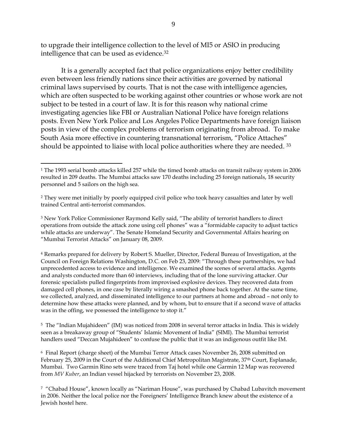to upgrade their intelligence collection to the level of MI5 or ASIO in producing intelligence that can be used as evidence.<sup>32</sup>

It is a generally accepted fact that police organizations enjoy better credibility even between less friendly nations since their activities are governed by national criminal laws supervised by courts. That is not the case with intelligence agencies, which are often suspected to be working against other countries or whose work are not subject to be tested in a court of law. It is for this reason why national crime investigating agencies like FBI or Australian National Police have foreign relations posts. Even New York Police and Los Angeles Police Departments have foreign liaison posts in view of the complex problems of terrorism originating from abroad. To make South Asia more effective in countering transnational terrorism, "Police Attaches" should be appointed to liaise with local police authorities where they are needed.  $^{33}$ 

 $\overline{a}$ 

<sup>1</sup> The 1993 serial bomb attacks killed 257 while the timed bomb attacks on transit railway system in 2006 resulted in 209 deaths. The Mumbai attacks saw 170 deaths including 25 foreign nationals, 18 security personnel and 5 sailors on the high sea.

<sup>2</sup> They were met initially by poorly equipped civil police who took heavy casualties and later by well trained Central anti-terrorist commandos.

<sup>&</sup>lt;sup>3</sup> New York Police Commissioner Raymond Kelly said, "The ability of terrorist handlers to direct operations from outside the attack zone using cell phones" was a "formidable capacity to adjust tactics while attacks are underway". The Senate Homeland Security and Governmental Affairs hearing on "Mumbai Terrorist Attacks" on January 08, 2009.

<sup>4</sup> Remarks prepared for delivery by Robert S. Mueller, Director, Federal Bureau of Investigation, at the Council on Foreign Relations Washington, D.C. on Feb 23, 2009: "Through these partnerships, we had unprecedented access to evidence and intelligence. We examined the scenes of several attacks. Agents and analysts conducted more than 60 interviews, including that of the lone surviving attacker. Our forensic specialists pulled fingerprints from improvised explosive devices. They recovered data from damaged cell phones, in one case by literally wiring a smashed phone back together. At the same time, we collected, analyzed, and disseminated intelligence to our partners at home and abroad – not only to determine how these attacks were planned, and by whom, but to ensure that if a second wave of attacks was in the offing, we possessed the intelligence to stop it."

 $^{\rm 5}$  The "Indian Mujahideen" (IM) was noticed from 2008 in several terror attacks in India. This is widely seen as a breakaway group of "Students" Islamic Movement of India" (SIMI). The Mumbai terrorist handlers used "Deccan Mujahideen" to confuse the public that it was an indigenous outfit like IM.

<sup>6</sup> Final Report (charge sheet) of the Mumbai Terror Attack cases November 26, 2008 submitted on February 25, 2009 in the Court of the Additional Chief Metropolitan Magistrate, 37<sup>th</sup> Court, Esplanade, Mumbai. Two Garmin Rino sets were traced from Taj hotel while one Garmin 12 Map was recovered from *MV Kuber*, an Indian vessel hijacked by terrorists on November 23, 2008.

<sup>7</sup> "Chabad House", known locally as "Nariman House", was purchased by Chabad Lubavitch movement in 2006. Neither the local police nor the Foreigners" Intelligence Branch knew about the existence of a Jewish hostel here.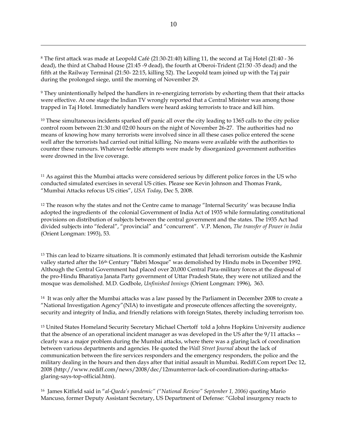<sup>8</sup> The first attack was made at Leopold Café (21:30-21:40) killing 11, the second at Taj Hotel (21:40 - 36 dead), the third at Chabad House (21:45 -9 dead), the fourth at Oberoi-Trident (21:50 -35 dead) and the fifth at the Railway Terminal (21:50- 22:15, killing 52). The Leopold team joined up with the Taj pair during the prolonged siege, until the morning of November 29.

 $\overline{a}$ 

<sup>9</sup> They unintentionally helped the handlers in re-energizing terrorists by exhorting them that their attacks were effective. At one stage the Indian TV wrongly reported that a Central Minister was among those trapped in Taj Hotel. Immediately handlers were heard asking terrorists to trace and kill him.

<sup>10</sup> These simultaneous incidents sparked off panic all over the city leading to 1365 calls to the city police control room between 21:30 and 02:00 hours on the night of November 26-27. The authorities had no means of knowing how many terrorists were involved since in all these cases police entered the scene well after the terrorists had carried out initial killing. No means were available with the authorities to counter these rumours. Whatever feeble attempts were made by disorganized government authorities were drowned in the live coverage.

<sup>11</sup> As against this the Mumbai attacks were considered serious by different police forces in the US who conducted simulated exercises in several US cities. Please see Kevin Johnson and Thomas Frank, "Mumbai Attacks refocus US cities", *USA Today*, Dec 5, 2008.

<sup>12</sup> The reason why the states and not the Centre came to manage "Internal Security' was because India adopted the ingredients of the colonial Government of India Act of 1935 while formulating constitutional provisions on distribution of subjects between the central government and the states. The 1935 Act had divided subjects into "federal", "provincial" and "concurrent". V.P. Menon, *The transfer of Power in India* (Orient Longman: 1993), 53.

<sup>13</sup> This can lead to bizarre situations. It is commonly estimated that Jehadi terrorism outside the Kashmir valley started after the 16<sup>th</sup> Century "Babri Mosque" was demolished by Hindu mobs in December 1992. Although the Central Government had placed over 20,000 Central Para-military forces at the disposal of the pro-Hindu Bharatiya Janata Party government of Uttar Pradesh State, they were not utilized and the mosque was demolished. M.D. Godbole, *Unfinished Innings* (Orient Longman: 1996), 363.

14 It was only after the Mumbai attacks was a law passed by the Parliament in December 2008 to create a "National Investigation Agency"(NIA) to investigate and prosecute offences affecting the sovereignty, security and integrity of India, and friendly relations with foreign States, thereby including terrorism too.

<sup>15</sup> United States Homeland Security Secretary Michael Chertoff told a Johns Hopkins University audience that the absence of an operational incident manager as was developed in the US after the 9/11 attacks - clearly was a major problem during the Mumbai attacks, where there was a glaring lack of coordination between various departments and agencies. He quoted the *Wall Street Journal* about the lack of communication between the fire services responders and the emergency responders, the police and the military dealing in the hours and then days after that initial assault in Mumbai. Rediff.Com report Dec 12, 2008 (http://www.rediff.com/news/2008/dec/12mumterror-lack-of-coordination-during-attacksglaring-says-top-official.htm).

16 James Kitfield said in "*al-Qaeda's pandemic" ("National Review" September 1, 2006)* quoting Mario Mancuso, former Deputy Assistant Secretary, US Department of Defense: "Global insurgency reacts to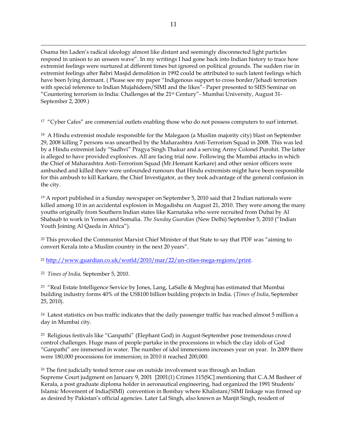Osama bin Laden"s radical ideology almost like distant and seemingly disconnected light particles respond in unison to an unseen wave". In my writings I had gone back into Indian history to trace how extremist feelings were nurtured at different times but ignored on political grounds. The sudden rise in extremist feelings after Babri Masjid demolition in 1992 could be attributed to such latent feelings which have been lying dormant. ( Please see my paper "Indigenous support to cross border/Jehadi terrorism with special reference to Indian Mujahideen/SIMI and the likes"- Paper presented to SIES Seminar on "Countering terrorism in India: Challenges **o**f the 21st Century"- Mumbai University, August 31- September 2, 2009.)

<sup>17</sup> "Cyber Cafes" are commercial outlets enabling those who do not possess computers to surf internet.

18 A Hindu extremist module responsible for the Malegaon (a Muslim majority city) blast on September 29, 2008 killing 7 persons was unearthed by the Maharashtra Anti-Terrorism Squad in 2008. This was led by a Hindu extremist lady "Sadhvi" Pragya Singh Thakur and a serving Army Colonel Purohit. The latter is alleged to have provided explosives. All are facing trial now. Following the Mumbai attacks in which the Chief of Maharashtra Anti-Terrorism Squad (Mr.Hemant Karkare) and other senior officers were ambushed and killed there were unfounded rumours that Hindu extremists might have been responsible for this ambush to kill Karkare, the Chief Investigator, as they took advantage of the general confusion in the city.

<sup>19</sup> A report published in a Sunday newspaper on September 5, 2010 said that 2 Indian nationals were killed among 10 in an accidental explosion in Mogadishu on August 21, 2010. They were among the many youths originally from Southern Indian states like Karnataka who were recruited from Dubai by Al Shabaab to work in Yemen and Somalia. *The Sunday Guardian* (New Delhi) September 5, 2010 ("Indian Youth Joining Al Qaeda in Africa").

<sup>20</sup> This provoked the Communist Marxist Chief Minister of that State to say that PDF was "aiming to convert Kerala into a Muslim country in the next 20 years".

<sup>21</sup> <http://www.guardian.co.uk/world/2010/mar/22/un-cities-mega-regions/print>.

22 *Times of India,* September 5, 2010.

 $\overline{a}$ 

<sup>23</sup> "Real Estate Intelligence Service by Jones, Lang, LaSalle & Meghraj has estimated that Mumbai building industry forms 40% of the US\$100 billion building projects in India. (*Times of India*, September 25, 2010).

 $24$  Latest statistics on bus traffic indicates that the daily passenger traffic has reached almost 5 million a day in Mumbai city.

25 Religious festivals like "Ganpathi" (Elephant God) in August-September pose tremendous crowd control challenges. Huge mass of people partake in the processions in which the clay idols of God "Ganpathi" are immersed in water. The number of idol immersions increases year on year. In 2009 there were 180,000 processions for immersion; in 2010 it reached 200,000.

<sup>26</sup> The first judicially tested terror case on outside involvement was through an Indian Supreme Court judgment on January 9, 2001 [2001(1) Crimes 115(SC] mentioning that C.A.M Basheer of Kerala, a post graduate diploma holder in aeronautical engineering, had organized the 1991 Students" Islamic Movement of India(SIMI) convention in Bombay where Khalistani/SIMI linkage was firmed up as desired by Pakistan's official agencies. Later Lal Singh, also known as Manjit Singh, resident of